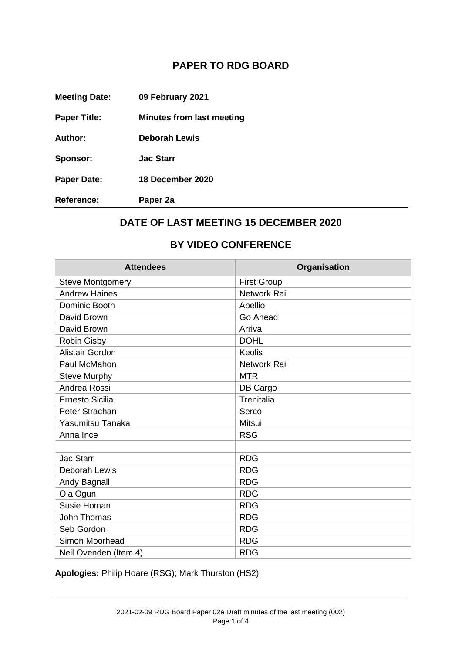## **PAPER TO RDG BOARD**

| <b>Reference:</b>    | Paper 2a                         |
|----------------------|----------------------------------|
| <b>Paper Date:</b>   | 18 December 2020                 |
| Sponsor:             | <b>Jac Starr</b>                 |
| Author:              | Deborah Lewis                    |
| <b>Paper Title:</b>  | <b>Minutes from last meeting</b> |
| <b>Meeting Date:</b> | 09 February 2021                 |

## **DATE OF LAST MEETING 15 DECEMBER 2020**

## **BY VIDEO CONFERENCE**

| <b>Attendees</b>        | Organisation        |
|-------------------------|---------------------|
| <b>Steve Montgomery</b> | <b>First Group</b>  |
| <b>Andrew Haines</b>    | <b>Network Rail</b> |
| Dominic Booth           | Abellio             |
| David Brown             | Go Ahead            |
| David Brown             | Arriva              |
| Robin Gisby             | <b>DOHL</b>         |
| <b>Alistair Gordon</b>  | <b>Keolis</b>       |
| Paul McMahon            | <b>Network Rail</b> |
| <b>Steve Murphy</b>     | <b>MTR</b>          |
| Andrea Rossi            | DB Cargo            |
| <b>Ernesto Sicilia</b>  | Trenitalia          |
| Peter Strachan          | Serco               |
| Yasumitsu Tanaka        | <b>Mitsui</b>       |
| Anna Ince               | <b>RSG</b>          |
|                         |                     |
| <b>Jac Starr</b>        | <b>RDG</b>          |
| Deborah Lewis           | <b>RDG</b>          |
| Andy Bagnall            | <b>RDG</b>          |
| Ola Ogun                | <b>RDG</b>          |
| Susie Homan             | <b>RDG</b>          |
| John Thomas             | <b>RDG</b>          |
| Seb Gordon              | <b>RDG</b>          |
| Simon Moorhead          | <b>RDG</b>          |
| Neil Ovenden (Item 4)   | <b>RDG</b>          |

**Apologies:** Philip Hoare (RSG); Mark Thurston (HS2)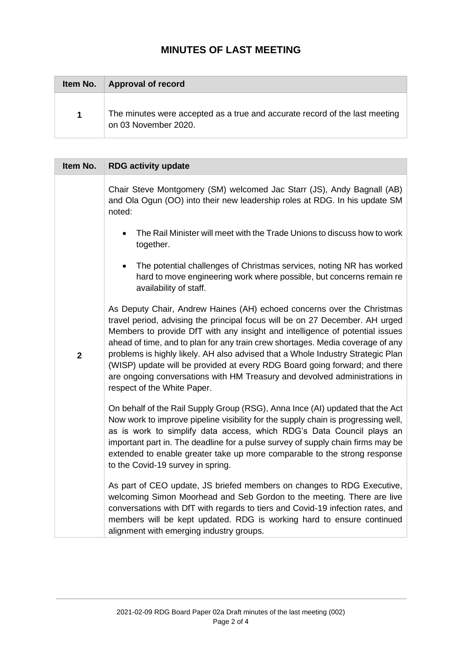## **MINUTES OF LAST MEETING**

| Item No. | <b>Approval of record</b>                                                                           |
|----------|-----------------------------------------------------------------------------------------------------|
| 1        | The minutes were accepted as a true and accurate record of the last meeting<br>on 03 November 2020. |

| Item No.       | <b>RDG activity update</b>                                                                                                                                                                                                                                                                                                                                                                                                                                                                                                                                                                             |
|----------------|--------------------------------------------------------------------------------------------------------------------------------------------------------------------------------------------------------------------------------------------------------------------------------------------------------------------------------------------------------------------------------------------------------------------------------------------------------------------------------------------------------------------------------------------------------------------------------------------------------|
|                | Chair Steve Montgomery (SM) welcomed Jac Starr (JS), Andy Bagnall (AB)<br>and Ola Ogun (OO) into their new leadership roles at RDG. In his update SM<br>noted:                                                                                                                                                                                                                                                                                                                                                                                                                                         |
|                | The Rail Minister will meet with the Trade Unions to discuss how to work<br>together.                                                                                                                                                                                                                                                                                                                                                                                                                                                                                                                  |
|                | The potential challenges of Christmas services, noting NR has worked<br>hard to move engineering work where possible, but concerns remain re<br>availability of staff.                                                                                                                                                                                                                                                                                                                                                                                                                                 |
| $\overline{2}$ | As Deputy Chair, Andrew Haines (AH) echoed concerns over the Christmas<br>travel period, advising the principal focus will be on 27 December. AH urged<br>Members to provide DfT with any insight and intelligence of potential issues<br>ahead of time, and to plan for any train crew shortages. Media coverage of any<br>problems is highly likely. AH also advised that a Whole Industry Strategic Plan<br>(WISP) update will be provided at every RDG Board going forward; and there<br>are ongoing conversations with HM Treasury and devolved administrations in<br>respect of the White Paper. |
|                | On behalf of the Rail Supply Group (RSG), Anna Ince (AI) updated that the Act<br>Now work to improve pipeline visibility for the supply chain is progressing well,<br>as is work to simplify data access, which RDG's Data Council plays an<br>important part in. The deadline for a pulse survey of supply chain firms may be<br>extended to enable greater take up more comparable to the strong response<br>to the Covid-19 survey in spring.                                                                                                                                                       |
|                | As part of CEO update, JS briefed members on changes to RDG Executive,<br>welcoming Simon Moorhead and Seb Gordon to the meeting. There are live<br>conversations with DfT with regards to tiers and Covid-19 infection rates, and<br>members will be kept updated. RDG is working hard to ensure continued<br>alignment with emerging industry groups.                                                                                                                                                                                                                                                |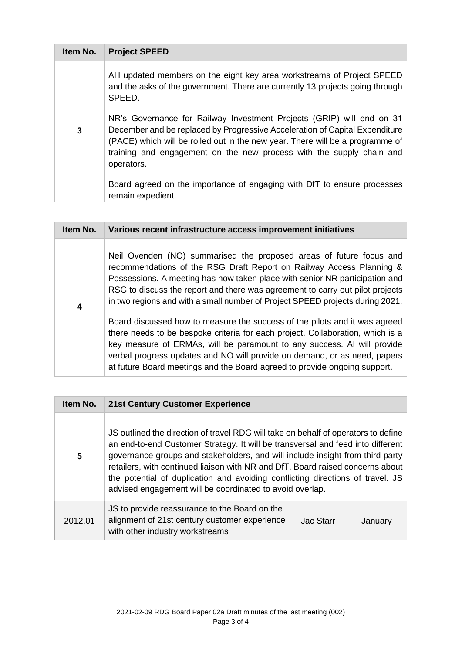| Item No. | <b>Project SPEED</b>                                                                                                                                                                                                                                                                                                        |
|----------|-----------------------------------------------------------------------------------------------------------------------------------------------------------------------------------------------------------------------------------------------------------------------------------------------------------------------------|
| 3        | AH updated members on the eight key area workstreams of Project SPEED<br>and the asks of the government. There are currently 13 projects going through<br>SPEED.                                                                                                                                                            |
|          | NR's Governance for Railway Investment Projects (GRIP) will end on 31<br>December and be replaced by Progressive Acceleration of Capital Expenditure<br>(PACE) which will be rolled out in the new year. There will be a programme of<br>training and engagement on the new process with the supply chain and<br>operators. |
|          | Board agreed on the importance of engaging with DfT to ensure processes<br>remain expedient.                                                                                                                                                                                                                                |

| Item No. | Various recent infrastructure access improvement initiatives                                                                                                                                                                                                                                                                                                                                      |
|----------|---------------------------------------------------------------------------------------------------------------------------------------------------------------------------------------------------------------------------------------------------------------------------------------------------------------------------------------------------------------------------------------------------|
| 4        | Neil Ovenden (NO) summarised the proposed areas of future focus and<br>recommendations of the RSG Draft Report on Railway Access Planning &<br>Possessions. A meeting has now taken place with senior NR participation and<br>RSG to discuss the report and there was agreement to carry out pilot projects<br>in two regions and with a small number of Project SPEED projects during 2021.      |
|          | Board discussed how to measure the success of the pilots and it was agreed<br>there needs to be bespoke criteria for each project. Collaboration, which is a<br>key measure of ERMAs, will be paramount to any success. AI will provide<br>verbal progress updates and NO will provide on demand, or as need, papers<br>at future Board meetings and the Board agreed to provide ongoing support. |

| Item No. | <b>21st Century Customer Experience</b>                                                                                                                                                                                                                                                                                                                                                                                                                                                |                  |         |
|----------|----------------------------------------------------------------------------------------------------------------------------------------------------------------------------------------------------------------------------------------------------------------------------------------------------------------------------------------------------------------------------------------------------------------------------------------------------------------------------------------|------------------|---------|
| 5        | US outlined the direction of travel RDG will take on behalf of operators to define<br>an end-to-end Customer Strategy. It will be transversal and feed into different<br>governance groups and stakeholders, and will include insight from third party<br>retailers, with continued liaison with NR and DfT. Board raised concerns about<br>the potential of duplication and avoiding conflicting directions of travel. JS<br>advised engagement will be coordinated to avoid overlap. |                  |         |
| 2012.01  | JS to provide reassurance to the Board on the<br>alignment of 21st century customer experience<br>with other industry workstreams                                                                                                                                                                                                                                                                                                                                                      | <b>Jac Starr</b> | January |